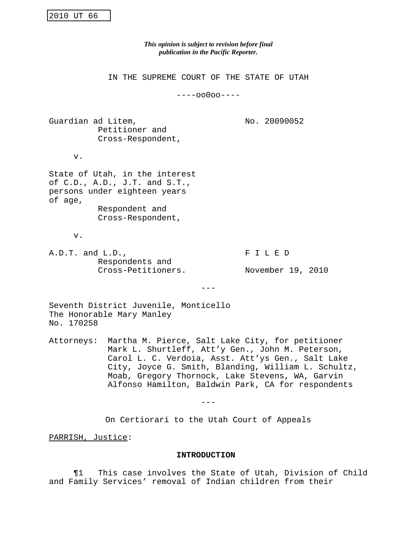*This opinion is subject to revision before final publication in the Pacific Reporter.*

IN THE SUPREME COURT OF THE STATE OF UTAH

----oo0oo----

Guardian ad Litem,  $N$  No. 20090052 Petitioner and Cross-Respondent,

v.

State of Utah, in the interest of C.D., A.D., J.T. and S.T., persons under eighteen years of age, Respondent and

Cross-Respondent,

v.

A.D.T. and L.D., FILED Respondents and Cross-Petitioners. November 19, 2010

 $-$ 

Seventh District Juvenile, Monticello The Honorable Mary Manley No. 170258

Attorneys: Martha M. Pierce, Salt Lake City, for petitioner Mark L. Shurtleff, Att'y Gen., John M. Peterson, Carol L. C. Verdoia, Asst. Att'ys Gen., Salt Lake City, Joyce G. Smith, Blanding, William L. Schultz, Moab, Gregory Thornock, Lake Stevens, WA, Garvin Alfonso Hamilton, Baldwin Park, CA for respondents

 $- - -$ 

On Certiorari to the Utah Court of Appeals

PARRISH, Justice:

#### **INTRODUCTION**

¶1 This case involves the State of Utah, Division of Child and Family Services' removal of Indian children from their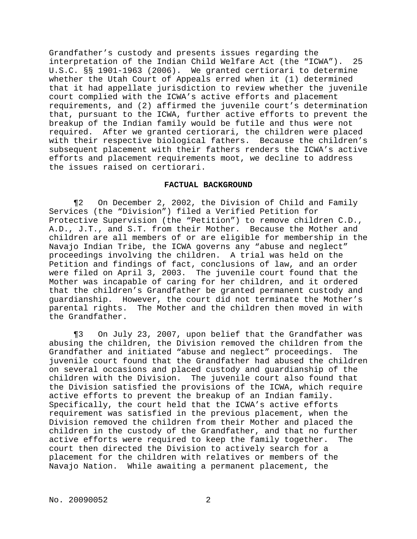Grandfather's custody and presents issues regarding the interpretation of the Indian Child Welfare Act (the "ICWA"). 25 U.S.C. §§ 1901-1963 (2006). We granted certiorari to determine whether the Utah Court of Appeals erred when it (1) determined that it had appellate jurisdiction to review whether the juvenile court complied with the ICWA's active efforts and placement requirements, and (2) affirmed the juvenile court's determination that, pursuant to the ICWA, further active efforts to prevent the breakup of the Indian family would be futile and thus were not required. After we granted certiorari, the children were placed with their respective biological fathers. Because the children's subsequent placement with their fathers renders the ICWA's active efforts and placement requirements moot, we decline to address the issues raised on certiorari.

### **FACTUAL BACKGROUND**

¶2 On December 2, 2002, the Division of Child and Family Services (the "Division") filed a Verified Petition for Protective Supervision (the "Petition") to remove children C.D., A.D., J.T., and S.T. from their Mother. Because the Mother and children are all members of or are eligible for membership in the Navajo Indian Tribe, the ICWA governs any "abuse and neglect" proceedings involving the children. A trial was held on the Petition and findings of fact, conclusions of law, and an order were filed on April 3, 2003. The juvenile court found that the Mother was incapable of caring for her children, and it ordered that the children's Grandfather be granted permanent custody and guardianship. However, the court did not terminate the Mother's parental rights. The Mother and the children then moved in with the Grandfather.

¶3 On July 23, 2007, upon belief that the Grandfather was abusing the children, the Division removed the children from the Grandfather and initiated "abuse and neglect" proceedings. The juvenile court found that the Grandfather had abused the children on several occasions and placed custody and guardianship of the children with the Division. The juvenile court also found that the Division satisfied the provisions of the ICWA, which require active efforts to prevent the breakup of an Indian family. Specifically, the court held that the ICWA's active efforts requirement was satisfied in the previous placement, when the Division removed the children from their Mother and placed the children in the custody of the Grandfather, and that no further active efforts were required to keep the family together. The court then directed the Division to actively search for a placement for the children with relatives or members of the Navajo Nation. While awaiting a permanent placement, the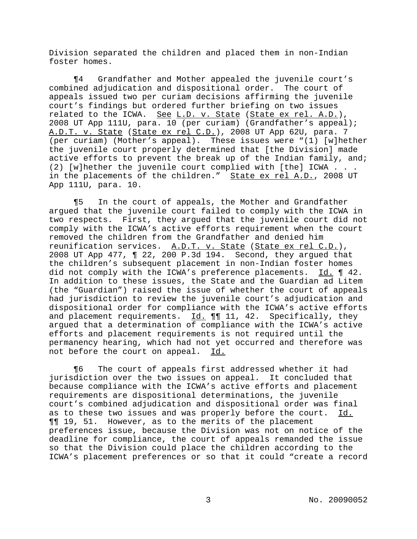Division separated the children and placed them in non-Indian foster homes.

¶4 Grandfather and Mother appealed the juvenile court's combined adjudication and dispositional order. The court of appeals issued two per curiam decisions affirming the juvenile court's findings but ordered further briefing on two issues related to the ICWA. See L.D. v. State (State ex rel. A.D.), 2008 UT App 111U, para. 10 (per curiam) (Grandfather's appeal); A.D.T. v. State (State ex rel C.D.), 2008 UT App 62U, para. 7 (per curiam) (Mother's appeal). These issues were "(1) [w]hether the juvenile court properly determined that [the Division] made active efforts to prevent the break up of the Indian family, and; (2) [w]hether the juvenile court complied with [the] ICWA . . . in the placements of the children." State ex rel A.D., 2008 UT App 111U, para. 10.

¶5 In the court of appeals, the Mother and Grandfather argued that the juvenile court failed to comply with the ICWA in two respects. First, they argued that the juvenile court did not comply with the ICWA's active efforts requirement when the court removed the children from the Grandfather and denied him reunification services. A.D.T. v. State (State ex rel C.D.), 2008 UT App 477, ¶ 22, 200 P.3d 194. Second, they argued that the children's subsequent placement in non-Indian foster homes did not comply with the ICWA's preference placements. Id. 142. In addition to these issues, the State and the Guardian ad Litem (the "Guardian") raised the issue of whether the court of appeals had jurisdiction to review the juvenile court's adjudication and dispositional order for compliance with the ICWA's active efforts and placement requirements.  $Id. \P\P I$  11, 42. Specifically, they argued that a determination of compliance with the ICWA's active efforts and placement requirements is not required until the permanency hearing, which had not yet occurred and therefore was not before the court on appeal. Id.

¶6 The court of appeals first addressed whether it had jurisdiction over the two issues on appeal. It concluded that because compliance with the ICWA's active efforts and placement requirements are dispositional determinations, the juvenile court's combined adjudication and dispositional order was final as to these two issues and was properly before the court. Id. ¶¶ 19, 51. However, as to the merits of the placement preferences issue, because the Division was not on notice of the deadline for compliance, the court of appeals remanded the issue so that the Division could place the children according to the ICWA's placement preferences or so that it could "create a record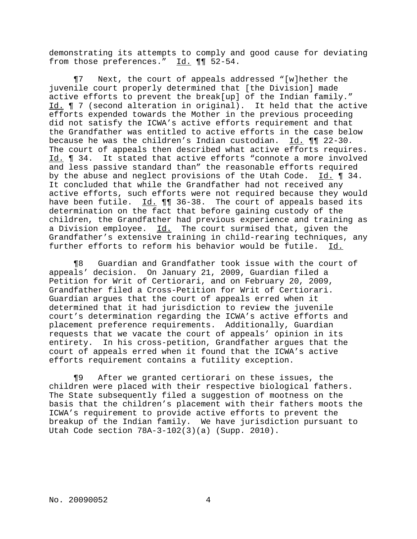demonstrating its attempts to comply and good cause for deviating from those preferences." Id. ¶¶ 52-54.

¶7 Next, the court of appeals addressed "[w]hether the juvenile court properly determined that [the Division] made active efforts to prevent the break[up] of the Indian family." Id. ¶ 7 (second alteration in original). It held that the active efforts expended towards the Mother in the previous proceeding did not satisfy the ICWA's active efforts requirement and that the Grandfather was entitled to active efforts in the case below because he was the children's Indian custodian. Id. ¶¶ 22-30. The court of appeals then described what active efforts requires. Id. ¶ 34. It stated that active efforts "connote a more involved and less passive standard than" the reasonable efforts required by the abuse and neglect provisions of the Utah Code. Id. 134. It concluded that while the Grandfather had not received any active efforts, such efforts were not required because they would have been futile. Id.  $\P\P$  36-38. The court of appeals based its determination on the fact that before gaining custody of the children, the Grandfather had previous experience and training as a Division employee. Id. The court surmised that, given the Grandfather's extensive training in child-rearing techniques, any further efforts to reform his behavior would be futile. Id.

¶8 Guardian and Grandfather took issue with the court of appeals' decision. On January 21, 2009, Guardian filed a Petition for Writ of Certiorari, and on February 20, 2009, Grandfather filed a Cross-Petition for Writ of Certiorari. Guardian argues that the court of appeals erred when it determined that it had jurisdiction to review the juvenile court's determination regarding the ICWA's active efforts and placement preference requirements. Additionally, Guardian requests that we vacate the court of appeals' opinion in its entirety. In his cross-petition, Grandfather argues that the court of appeals erred when it found that the ICWA's active efforts requirement contains a futility exception.

¶9 After we granted certiorari on these issues, the children were placed with their respective biological fathers. The State subsequently filed a suggestion of mootness on the basis that the children's placement with their fathers moots the ICWA's requirement to provide active efforts to prevent the breakup of the Indian family. We have jurisdiction pursuant to Utah Code section 78A-3-102(3)(a) (Supp. 2010).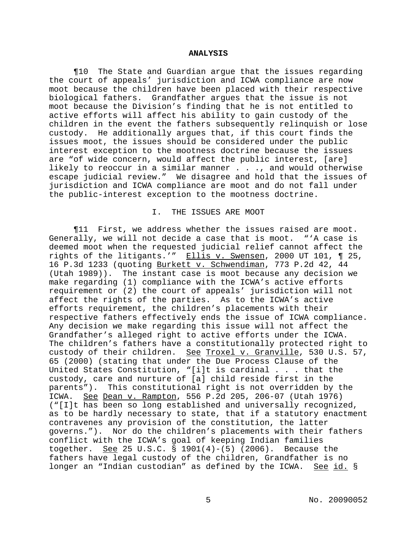#### **ANALYSIS**

¶10 The State and Guardian argue that the issues regarding the court of appeals' jurisdiction and ICWA compliance are now moot because the children have been placed with their respective biological fathers. Grandfather argues that the issue is not moot because the Division's finding that he is not entitled to active efforts will affect his ability to gain custody of the children in the event the fathers subsequently relinquish or lose custody. He additionally argues that, if this court finds the issues moot, the issues should be considered under the public interest exception to the mootness doctrine because the issues are "of wide concern, would affect the public interest, [are] likely to reoccur in a similar manner . . ., and would otherwise escape judicial review." We disagree and hold that the issues of jurisdiction and ICWA compliance are moot and do not fall under the public-interest exception to the mootness doctrine.

## I. THE ISSUES ARE MOOT

¶11 First, we address whether the issues raised are moot. Generally, we will not decide a case that is moot. "'A case is deemed moot when the requested judicial relief cannot affect the rights of the litigants.'" Ellis v. Swensen, 2000 UT 101, 1 25, 16 P.3d 1233 (quoting Burkett v. Schwendiman, 773 P.2d 42, 44 (Utah 1989)). The instant case is moot because any decision we make regarding (1) compliance with the ICWA's active efforts requirement or (2) the court of appeals' jurisdiction will not affect the rights of the parties. As to the ICWA's active efforts requirement, the children's placements with their respective fathers effectively ends the issue of ICWA compliance. Any decision we make regarding this issue will not affect the Grandfather's alleged right to active efforts under the ICWA. The children's fathers have a constitutionally protected right to custody of their children. See Troxel v. Granville, 530 U.S. 57, 65 (2000) (stating that under the Due Process Clause of the United States Constitution, "[i]t is cardinal . . . that the custody, care and nurture of [a] child reside first in the parents"). This constitutional right is not overridden by the ICWA. See Dean v. Rampton, 556 P.2d 205, 206-07 (Utah 1976) ("[I]t has been so long established and universally recognized, as to be hardly necessary to state, that if a statutory enactment contravenes any provision of the constitution, the latter governs."). Nor do the children's placements with their fathers conflict with the ICWA's goal of keeping Indian families together. See 25 U.S.C. § 1901(4)-(5) (2006). Because the fathers have legal custody of the children, Grandfather is no longer an "Indian custodian" as defined by the ICWA. See id. §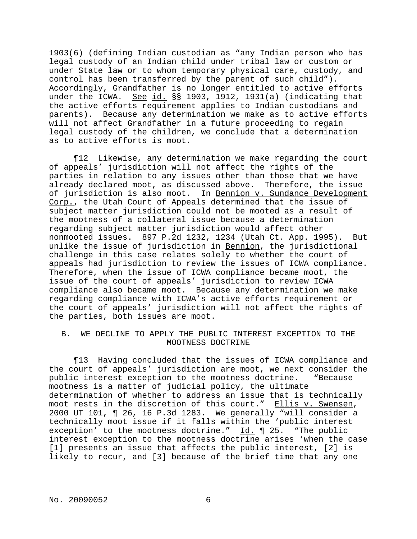1903(6) (defining Indian custodian as "any Indian person who has legal custody of an Indian child under tribal law or custom or under State law or to whom temporary physical care, custody, and control has been transferred by the parent of such child"). Accordingly, Grandfather is no longer entitled to active efforts under the ICWA. See id. §§ 1903, 1912, 1931(a) (indicating that the active efforts requirement applies to Indian custodians and parents). Because any determination we make as to active efforts will not affect Grandfather in a future proceeding to regain legal custody of the children, we conclude that a determination as to active efforts is moot.

¶12 Likewise, any determination we make regarding the court of appeals' jurisdiction will not affect the rights of the parties in relation to any issues other than those that we have already declared moot, as discussed above. Therefore, the issue of jurisdiction is also moot. In Bennion v. Sundance Development Corp., the Utah Court of Appeals determined that the issue of subject matter jurisdiction could not be mooted as a result of the mootness of a collateral issue because a determination regarding subject matter jurisdiction would affect other nonmooted issues. 897 P.2d 1232, 1234 (Utah Ct. App. 1995). But unlike the issue of jurisdiction in Bennion, the jurisdictional challenge in this case relates solely to whether the court of appeals had jurisdiction to review the issues of ICWA compliance. Therefore, when the issue of ICWA compliance became moot, the issue of the court of appeals' jurisdiction to review ICWA compliance also became moot. Because any determination we make regarding compliance with ICWA's active efforts requirement or the court of appeals' jurisdiction will not affect the rights of the parties, both issues are moot.

# B. WE DECLINE TO APPLY THE PUBLIC INTEREST EXCEPTION TO THE MOOTNESS DOCTRINE

¶13 Having concluded that the issues of ICWA compliance and the court of appeals' jurisdiction are moot, we next consider the public interest exception to the mootness doctrine. "Because mootness is a matter of judicial policy, the ultimate determination of whether to address an issue that is technically moot rests in the discretion of this court." Ellis v. Swensen, 2000 UT 101, ¶ 26, 16 P.3d 1283. We generally "will consider a technically moot issue if it falls within the 'public interest exception' to the mootness doctrine." Id. ¶ 25. "The public interest exception to the mootness doctrine arises 'when the case [1] presents an issue that affects the public interest, [2] is likely to recur, and [3] because of the brief time that any one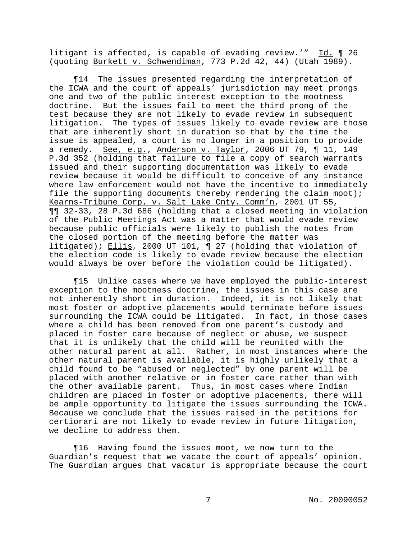litigant is affected, is capable of evading review.'" Id. ¶ 26 (quoting Burkett v. Schwendiman, 773 P.2d 42, 44) (Utah 1989).

¶14 The issues presented regarding the interpretation of the ICWA and the court of appeals' jurisdiction may meet prongs one and two of the public interest exception to the mootness doctrine. But the issues fail to meet the third prong of the test because they are not likely to evade review in subsequent litigation. The types of issues likely to evade review are those that are inherently short in duration so that by the time the issue is appealed, a court is no longer in a position to provide a remedy. See, e.g., Anderson v. Taylor, 2006 UT 79, ¶ 11, 149 P.3d 352 (holding that failure to file a copy of search warrants issued and their supporting documentation was likely to evade review because it would be difficult to conceive of any instance where law enforcement would not have the incentive to immediately file the supporting documents thereby rendering the claim moot); Kearns-Tribune Corp. v. Salt Lake Cnty. Comm'n, 2001 UT 55, ¶¶ 32-33, 28 P.3d 686 (holding that a closed meeting in violation of the Public Meetings Act was a matter that would evade review because public officials were likely to publish the notes from the closed portion of the meeting before the matter was litigated); Ellis, 2000 UT 101, ¶ 27 (holding that violation of the election code is likely to evade review because the election would always be over before the violation could be litigated).

¶15 Unlike cases where we have employed the public-interest exception to the mootness doctrine, the issues in this case are not inherently short in duration. Indeed, it is not likely that most foster or adoptive placements would terminate before issues surrounding the ICWA could be litigated. In fact, in those cases where a child has been removed from one parent's custody and placed in foster care because of neglect or abuse, we suspect that it is unlikely that the child will be reunited with the other natural parent at all. Rather, in most instances where the other natural parent is available, it is highly unlikely that a child found to be "abused or neglected" by one parent will be placed with another relative or in foster care rather than with the other available parent. Thus, in most cases where Indian children are placed in foster or adoptive placements, there will be ample opportunity to litigate the issues surrounding the ICWA. Because we conclude that the issues raised in the petitions for certiorari are not likely to evade review in future litigation, we decline to address them.

¶16 Having found the issues moot, we now turn to the Guardian's request that we vacate the court of appeals' opinion. The Guardian argues that vacatur is appropriate because the court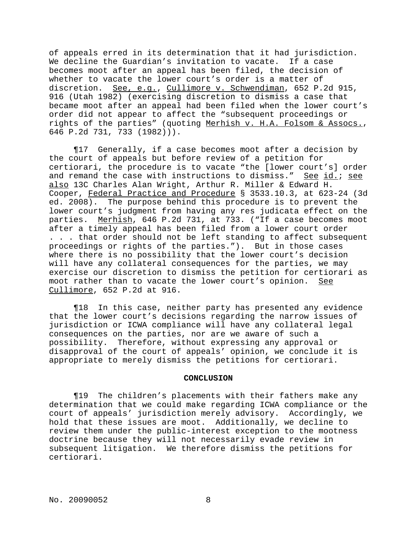of appeals erred in its determination that it had jurisdiction. We decline the Guardian's invitation to vacate. If a case becomes moot after an appeal has been filed, the decision of whether to vacate the lower court's order is a matter of discretion. See, e.g., Cullimore v. Schwendiman, 652 P.2d 915, 916 (Utah 1982) (exercising discretion to dismiss a case that became moot after an appeal had been filed when the lower court's order did not appear to affect the "subsequent proceedings or rights of the parties" (quoting Merhish v. H.A. Folsom & Assocs., 646 P.2d 731, 733 (1982))).

¶17 Generally, if a case becomes moot after a decision by the court of appeals but before review of a petition for certiorari, the procedure is to vacate "the [lower court's] order and remand the case with instructions to dismiss." See id.; see also 13C Charles Alan Wright, Arthur R. Miller & Edward H. Cooper, Federal Practice and Procedure § 3533.10.3, at 623-24 (3d ed. 2008). The purpose behind this procedure is to prevent the lower court's judgment from having any res judicata effect on the parties. Merhish, 646 P.2d 731, at 733. ("If a case becomes moot after a timely appeal has been filed from a lower court order . . . that order should not be left standing to affect subsequent proceedings or rights of the parties."). But in those cases where there is no possibility that the lower court's decision will have any collateral consequences for the parties, we may exercise our discretion to dismiss the petition for certiorari as moot rather than to vacate the lower court's opinion. See Cullimore, 652 P.2d at 916.

¶18 In this case, neither party has presented any evidence that the lower court's decisions regarding the narrow issues of jurisdiction or ICWA compliance will have any collateral legal consequences on the parties, nor are we aware of such a possibility. Therefore, without expressing any approval or disapproval of the court of appeals' opinion, we conclude it is appropriate to merely dismiss the petitions for certiorari.

### **CONCLUSION**

¶19 The children's placements with their fathers make any determination that we could make regarding ICWA compliance or the court of appeals' jurisdiction merely advisory. Accordingly, we hold that these issues are moot. Additionally, we decline to review them under the public-interest exception to the mootness doctrine because they will not necessarily evade review in subsequent litigation. We therefore dismiss the petitions for certiorari.